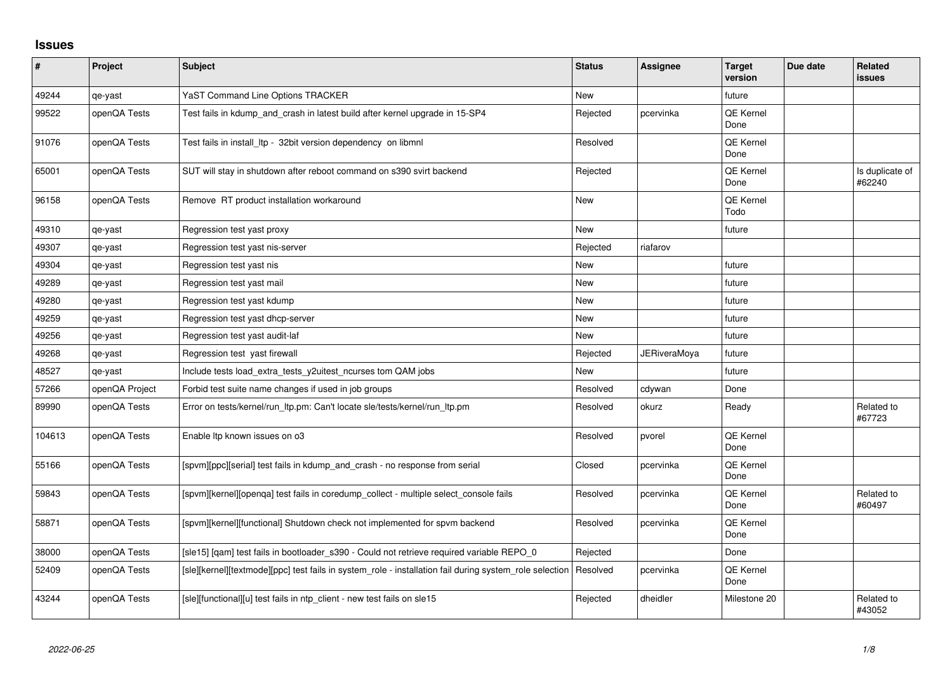## **Issues**

| $\sharp$ | Project        | <b>Subject</b>                                                                                          | <b>Status</b> | <b>Assignee</b>     | <b>Target</b><br>version | Due date | <b>Related</b><br>issues  |
|----------|----------------|---------------------------------------------------------------------------------------------------------|---------------|---------------------|--------------------------|----------|---------------------------|
| 49244    | qe-yast        | YaST Command Line Options TRACKER                                                                       | <b>New</b>    |                     | future                   |          |                           |
| 99522    | openQA Tests   | Test fails in kdump_and_crash in latest build after kernel upgrade in 15-SP4                            | Rejected      | pcervinka           | QE Kernel<br>Done        |          |                           |
| 91076    | openQA Tests   | Test fails in install Itp - 32bit version dependency on libmnl                                          | Resolved      |                     | QE Kernel<br>Done        |          |                           |
| 65001    | openQA Tests   | SUT will stay in shutdown after reboot command on s390 svirt backend                                    | Rejected      |                     | <b>QE Kernel</b><br>Done |          | Is duplicate of<br>#62240 |
| 96158    | openQA Tests   | Remove RT product installation workaround                                                               | New           |                     | QE Kernel<br>Todo        |          |                           |
| 49310    | qe-yast        | Regression test yast proxy                                                                              | <b>New</b>    |                     | future                   |          |                           |
| 49307    | qe-yast        | Regression test yast nis-server                                                                         | Rejected      | riafarov            |                          |          |                           |
| 49304    | qe-yast        | Regression test yast nis                                                                                | <b>New</b>    |                     | future                   |          |                           |
| 49289    | qe-yast        | Regression test yast mail                                                                               | New           |                     | future                   |          |                           |
| 49280    | qe-yast        | Regression test yast kdump                                                                              | <b>New</b>    |                     | future                   |          |                           |
| 49259    | qe-yast        | Regression test yast dhcp-server                                                                        | <b>New</b>    |                     | future                   |          |                           |
| 49256    | qe-yast        | Regression test yast audit-laf                                                                          | New           |                     | future                   |          |                           |
| 49268    | qe-yast        | Regression test yast firewall                                                                           | Rejected      | <b>JERiveraMoya</b> | future                   |          |                           |
| 48527    | qe-yast        | Include tests load_extra_tests_y2uitest_ncurses tom QAM jobs                                            | <b>New</b>    |                     | future                   |          |                           |
| 57266    | openQA Project | Forbid test suite name changes if used in job groups                                                    | Resolved      | cdywan              | Done                     |          |                           |
| 89990    | openQA Tests   | Error on tests/kernel/run_ltp.pm: Can't locate sle/tests/kernel/run_ltp.pm                              | Resolved      | okurz               | Ready                    |          | Related to<br>#67723      |
| 104613   | openQA Tests   | Enable Itp known issues on o3                                                                           | Resolved      | pvorel              | QE Kernel<br>Done        |          |                           |
| 55166    | openQA Tests   | [spvm][ppc][serial] test fails in kdump and crash - no response from serial                             | Closed        | pcervinka           | <b>QE Kernel</b><br>Done |          |                           |
| 59843    | openQA Tests   | [spvm][kernel][openqa] test fails in coredump_collect - multiple select_console fails                   | Resolved      | pcervinka           | QE Kernel<br>Done        |          | Related to<br>#60497      |
| 58871    | openQA Tests   | [spvm][kernel][functional] Shutdown check not implemented for spvm backend                              | Resolved      | pcervinka           | QE Kernel<br>Done        |          |                           |
| 38000    | openQA Tests   | [sle15] [qam] test fails in bootloader_s390 - Could not retrieve required variable REPO_0               | Rejected      |                     | Done                     |          |                           |
| 52409    | openQA Tests   | [sle][kernel][textmode][ppc] test fails in system role - installation fail during system role selection | Resolved      | pcervinka           | QE Kernel<br>Done        |          |                           |
| 43244    | openQA Tests   | [sle][functional][u] test fails in ntp_client - new test fails on sle15                                 | Rejected      | dheidler            | Milestone 20             |          | Related to<br>#43052      |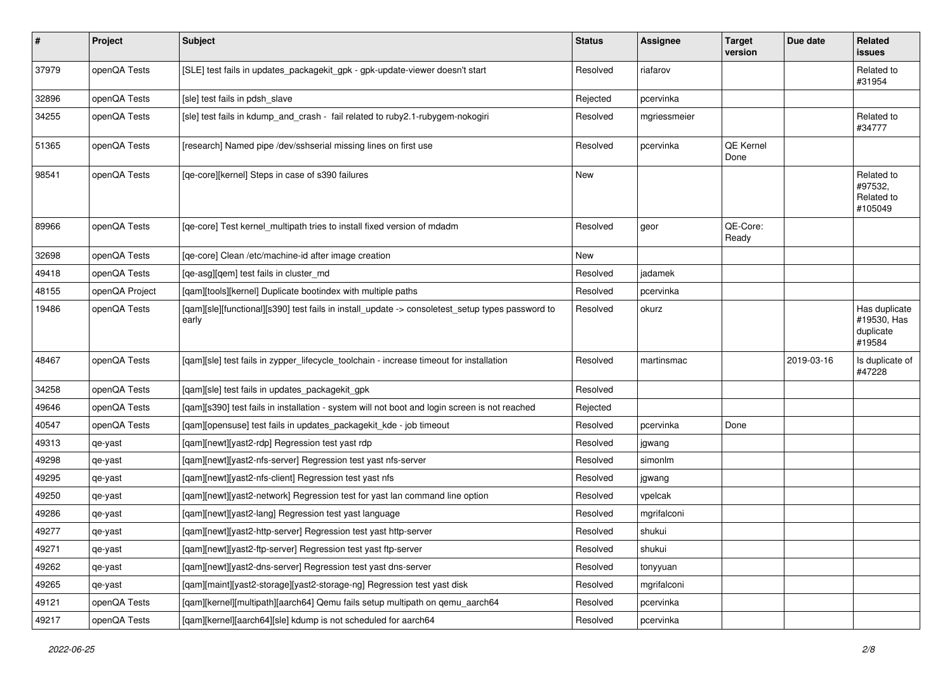| $\sharp$ | Project        | <b>Subject</b>                                                                                            | <b>Status</b> | Assignee     | <b>Target</b><br>version | Due date   | Related<br>issues                                   |
|----------|----------------|-----------------------------------------------------------------------------------------------------------|---------------|--------------|--------------------------|------------|-----------------------------------------------------|
| 37979    | openQA Tests   | [SLE] test fails in updates_packagekit_gpk - gpk-update-viewer doesn't start                              | Resolved      | riafarov     |                          |            | Related to<br>#31954                                |
| 32896    | openQA Tests   | [sle] test fails in pdsh slave                                                                            | Rejected      | pcervinka    |                          |            |                                                     |
| 34255    | openQA Tests   | [sle] test fails in kdump_and_crash - fail related to ruby2.1-rubygem-nokogiri                            | Resolved      | mgriessmeier |                          |            | Related to<br>#34777                                |
| 51365    | openQA Tests   | [research] Named pipe /dev/sshserial missing lines on first use                                           | Resolved      | pcervinka    | QE Kernel<br>Done        |            |                                                     |
| 98541    | openQA Tests   | [qe-core][kernel] Steps in case of s390 failures                                                          | <b>New</b>    |              |                          |            | Related to<br>#97532,<br>Related to<br>#105049      |
| 89966    | openQA Tests   | [qe-core] Test kernel_multipath tries to install fixed version of mdadm                                   | Resolved      | geor         | QE-Core:<br>Ready        |            |                                                     |
| 32698    | openQA Tests   | [qe-core] Clean /etc/machine-id after image creation                                                      | New           |              |                          |            |                                                     |
| 49418    | openQA Tests   | [qe-asg][qem] test fails in cluster_md                                                                    | Resolved      | jadamek      |                          |            |                                                     |
| 48155    | openQA Project | [qam][tools][kernel] Duplicate bootindex with multiple paths                                              | Resolved      | pcervinka    |                          |            |                                                     |
| 19486    | openQA Tests   | [qam][sle][functional][s390] test fails in install_update -> consoletest_setup types password to<br>early | Resolved      | okurz        |                          |            | Has duplicate<br>#19530, Has<br>duplicate<br>#19584 |
| 48467    | openQA Tests   | [qam][sle] test fails in zypper_lifecycle_toolchain - increase timeout for installation                   | Resolved      | martinsmac   |                          | 2019-03-16 | Is duplicate of<br>#47228                           |
| 34258    | openQA Tests   | [qam][sle] test fails in updates_packagekit_gpk                                                           | Resolved      |              |                          |            |                                                     |
| 49646    | openQA Tests   | [qam][s390] test fails in installation - system will not boot and login screen is not reached             | Rejected      |              |                          |            |                                                     |
| 40547    | openQA Tests   | [qam][opensuse] test fails in updates_packagekit_kde - job timeout                                        | Resolved      | pcervinka    | Done                     |            |                                                     |
| 49313    | qe-yast        | [qam][newt][yast2-rdp] Regression test yast rdp                                                           | Resolved      | jgwang       |                          |            |                                                     |
| 49298    | qe-yast        | [qam][newt][yast2-nfs-server] Regression test yast nfs-server                                             | Resolved      | simonlm      |                          |            |                                                     |
| 49295    | qe-yast        | [qam][newt][yast2-nfs-client] Regression test yast nfs                                                    | Resolved      | jgwang       |                          |            |                                                     |
| 49250    | qe-yast        | [qam][newt][yast2-network] Regression test for yast lan command line option                               | Resolved      | vpelcak      |                          |            |                                                     |
| 49286    | qe-yast        | [qam][newt][yast2-lang] Regression test yast language                                                     | Resolved      | mgrifalconi  |                          |            |                                                     |
| 49277    | qe-yast        | [qam][newt][yast2-http-server] Regression test yast http-server                                           | Resolved      | shukui       |                          |            |                                                     |
| 49271    | qe-yast        | [qam][newt][yast2-ftp-server] Regression test yast ftp-server                                             | Resolved      | shukui       |                          |            |                                                     |
| 49262    | qe-yast        | [gam][newt][yast2-dns-server] Regression test yast dns-server                                             | Resolved      | tonyyuan     |                          |            |                                                     |
| 49265    | qe-yast        | [qam][maint][yast2-storage][yast2-storage-ng] Regression test yast disk                                   | Resolved      | mgrifalconi  |                          |            |                                                     |
| 49121    | openQA Tests   | [qam][kernel][multipath][aarch64] Qemu fails setup multipath on qemu_aarch64                              | Resolved      | pcervinka    |                          |            |                                                     |
| 49217    | openQA Tests   | [qam][kernel][aarch64][sle] kdump is not scheduled for aarch64                                            | Resolved      | pcervinka    |                          |            |                                                     |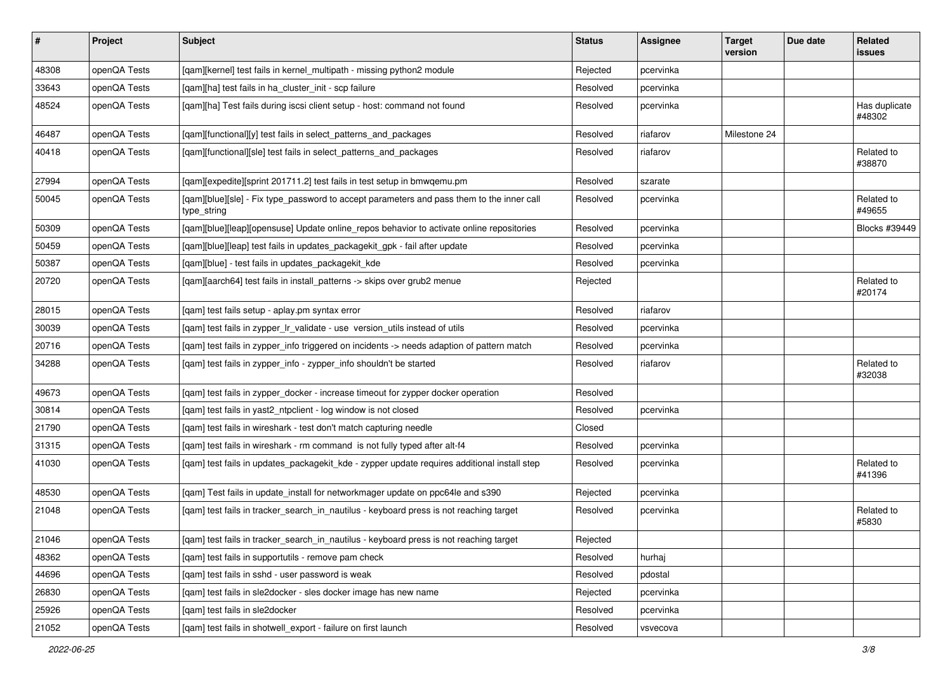| $\vert$ # | Project      | Subject                                                                                                  | <b>Status</b> | Assignee  | <b>Target</b><br>version | Due date | Related<br><b>issues</b> |
|-----------|--------------|----------------------------------------------------------------------------------------------------------|---------------|-----------|--------------------------|----------|--------------------------|
| 48308     | openQA Tests | [qam][kernel] test fails in kernel_multipath - missing python2 module                                    | Rejected      | pcervinka |                          |          |                          |
| 33643     | openQA Tests | [gam][ha] test fails in ha cluster init - scp failure                                                    | Resolved      | pcervinka |                          |          |                          |
| 48524     | openQA Tests | [qam][ha] Test fails during iscsi client setup - host: command not found                                 | Resolved      | pcervinka |                          |          | Has duplicate<br>#48302  |
| 46487     | openQA Tests | [qam][functional][y] test fails in select_patterns_and_packages                                          | Resolved      | riafarov  | Milestone 24             |          |                          |
| 40418     | openQA Tests | [qam][functional][sle] test fails in select_patterns_and_packages                                        | Resolved      | riafarov  |                          |          | Related to<br>#38870     |
| 27994     | openQA Tests | [qam][expedite][sprint 201711.2] test fails in test setup in bmwqemu.pm                                  | Resolved      | szarate   |                          |          |                          |
| 50045     | openQA Tests | [qam][blue][sle] - Fix type_password to accept parameters and pass them to the inner call<br>type_string | Resolved      | pcervinka |                          |          | Related to<br>#49655     |
| 50309     | openQA Tests | [qam][blue][leap][opensuse] Update online_repos behavior to activate online repositories                 | Resolved      | pcervinka |                          |          | Blocks #39449            |
| 50459     | openQA Tests | [qam][blue][leap] test fails in updates_packagekit_gpk - fail after update                               | Resolved      | pcervinka |                          |          |                          |
| 50387     | openQA Tests | [qam][blue] - test fails in updates_packagekit_kde                                                       | Resolved      | pcervinka |                          |          |                          |
| 20720     | openQA Tests | [qam][aarch64] test fails in install_patterns -> skips over grub2 menue                                  | Rejected      |           |                          |          | Related to<br>#20174     |
| 28015     | openQA Tests | [qam] test fails setup - aplay.pm syntax error                                                           | Resolved      | riafarov  |                          |          |                          |
| 30039     | openQA Tests | [qam] test fails in zypper_lr_validate - use version_utils instead of utils                              | Resolved      | pcervinka |                          |          |                          |
| 20716     | openQA Tests | [qam] test fails in zypper_info triggered on incidents -> needs adaption of pattern match                | Resolved      | pcervinka |                          |          |                          |
| 34288     | openQA Tests | [qam] test fails in zypper_info - zypper_info shouldn't be started                                       | Resolved      | riafarov  |                          |          | Related to<br>#32038     |
| 49673     | openQA Tests | [gam] test fails in zypper docker - increase timeout for zypper docker operation                         | Resolved      |           |                          |          |                          |
| 30814     | openQA Tests | [qam] test fails in yast2_ntpclient - log window is not closed                                           | Resolved      | pcervinka |                          |          |                          |
| 21790     | openQA Tests | [qam] test fails in wireshark - test don't match capturing needle                                        | Closed        |           |                          |          |                          |
| 31315     | openQA Tests | [qam] test fails in wireshark - rm command is not fully typed after alt-f4                               | Resolved      | pcervinka |                          |          |                          |
| 41030     | openQA Tests | [qam] test fails in updates_packagekit_kde - zypper update requires additional install step              | Resolved      | pcervinka |                          |          | Related to<br>#41396     |
| 48530     | openQA Tests | [qam] Test fails in update_install for networkmager update on ppc64le and s390                           | Rejected      | pcervinka |                          |          |                          |
| 21048     | openQA Tests | [qam] test fails in tracker_search_in_nautilus - keyboard press is not reaching target                   | Resolved      | pcervinka |                          |          | Related to<br>#5830      |
| 21046     | openQA Tests | [qam] test fails in tracker_search_in_nautilus - keyboard press is not reaching target                   | Rejected      |           |                          |          |                          |
| 48362     | openQA Tests | [qam] test fails in supportutils - remove pam check                                                      | Resolved      | hurhaj    |                          |          |                          |
| 44696     | openQA Tests | [gam] test fails in sshd - user password is weak                                                         | Resolved      | pdostal   |                          |          |                          |
| 26830     | openQA Tests | [qam] test fails in sle2docker - sles docker image has new name                                          | Rejected      | pcervinka |                          |          |                          |
| 25926     | openQA Tests | [qam] test fails in sle2docker                                                                           | Resolved      | pcervinka |                          |          |                          |
| 21052     | openQA Tests | [qam] test fails in shotwell_export - failure on first launch                                            | Resolved      | vsvecova  |                          |          |                          |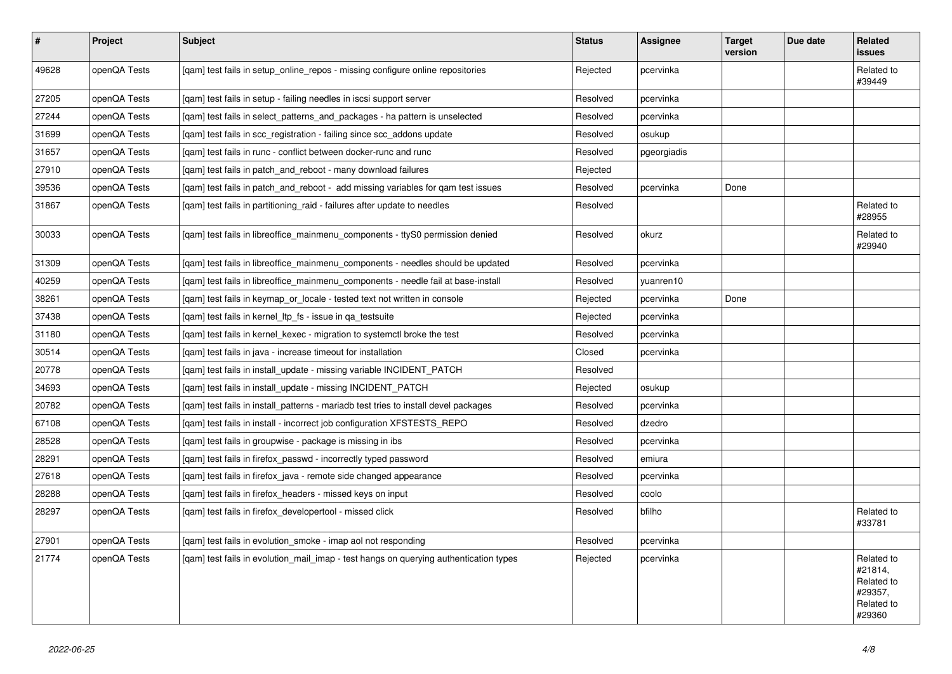| $\sharp$ | Project      | <b>Subject</b>                                                                        | <b>Status</b> | Assignee    | <b>Target</b><br>version | Due date | Related<br>issues                                                      |
|----------|--------------|---------------------------------------------------------------------------------------|---------------|-------------|--------------------------|----------|------------------------------------------------------------------------|
| 49628    | openQA Tests | [qam] test fails in setup_online_repos - missing configure online repositories        | Rejected      | pcervinka   |                          |          | Related to<br>#39449                                                   |
| 27205    | openQA Tests | [gam] test fails in setup - failing needles in iscsi support server                   | Resolved      | pcervinka   |                          |          |                                                                        |
| 27244    | openQA Tests | [gam] test fails in select patterns and packages - ha pattern is unselected           | Resolved      | pcervinka   |                          |          |                                                                        |
| 31699    | openQA Tests | [gam] test fails in scc registration - failing since scc addons update                | Resolved      | osukup      |                          |          |                                                                        |
| 31657    | openQA Tests | [gam] test fails in runc - conflict between docker-runc and runc                      | Resolved      | pgeorgiadis |                          |          |                                                                        |
| 27910    | openQA Tests | [gam] test fails in patch and reboot - many download failures                         | Rejected      |             |                          |          |                                                                        |
| 39536    | openQA Tests | [gam] test fails in patch and reboot - add missing variables for gam test issues      | Resolved      | pcervinka   | Done                     |          |                                                                        |
| 31867    | openQA Tests | [gam] test fails in partitioning raid - failures after update to needles              | Resolved      |             |                          |          | Related to<br>#28955                                                   |
| 30033    | openQA Tests | [qam] test fails in libreoffice_mainmenu_components - ttyS0 permission denied         | Resolved      | okurz       |                          |          | Related to<br>#29940                                                   |
| 31309    | openQA Tests | [gam] test fails in libreoffice mainmenu components - needles should be updated       | Resolved      | pcervinka   |                          |          |                                                                        |
| 40259    | openQA Tests | [gam] test fails in libreoffice mainmenu components - needle fail at base-install     | Resolved      | yuanren10   |                          |          |                                                                        |
| 38261    | openQA Tests | [qam] test fails in keymap_or_locale - tested text not written in console             | Rejected      | pcervinka   | Done                     |          |                                                                        |
| 37438    | openQA Tests | [gam] test fails in kernel Itp fs - issue in ga testsuite                             | Rejected      | pcervinka   |                          |          |                                                                        |
| 31180    | openQA Tests | [gam] test fails in kernel kexec - migration to systemctl broke the test              | Resolved      | pcervinka   |                          |          |                                                                        |
| 30514    | openQA Tests | [gam] test fails in java - increase timeout for installation                          | Closed        | pcervinka   |                          |          |                                                                        |
| 20778    | openQA Tests | [qam] test fails in install_update - missing variable INCIDENT_PATCH                  | Resolved      |             |                          |          |                                                                        |
| 34693    | openQA Tests | [qam] test fails in install_update - missing INCIDENT_PATCH                           | Rejected      | osukup      |                          |          |                                                                        |
| 20782    | openQA Tests | [gam] test fails in install patterns - mariadb test tries to install devel packages   | Resolved      | pcervinka   |                          |          |                                                                        |
| 67108    | openQA Tests | [gam] test fails in install - incorrect job configuration XFSTESTS REPO               | Resolved      | dzedro      |                          |          |                                                                        |
| 28528    | openQA Tests | [gam] test fails in groupwise - package is missing in ibs                             | Resolved      | pcervinka   |                          |          |                                                                        |
| 28291    | openQA Tests | [gam] test fails in firefox passwd - incorrectly typed password                       | Resolved      | emiura      |                          |          |                                                                        |
| 27618    | openQA Tests | [gam] test fails in firefox_java - remote side changed appearance                     | Resolved      | pcervinka   |                          |          |                                                                        |
| 28288    | openQA Tests | [gam] test fails in firefox headers - missed keys on input                            | Resolved      | coolo       |                          |          |                                                                        |
| 28297    | openQA Tests | [gam] test fails in firefox developertool - missed click                              | Resolved      | bfilho      |                          |          | Related to<br>#33781                                                   |
| 27901    | openQA Tests | [qam] test fails in evolution_smoke - imap aol not responding                         | Resolved      | pcervinka   |                          |          |                                                                        |
| 21774    | openQA Tests | [gam] test fails in evolution mail imap - test hangs on querying authentication types | Rejected      | pcervinka   |                          |          | Related to<br>#21814,<br>Related to<br>#29357,<br>Related to<br>#29360 |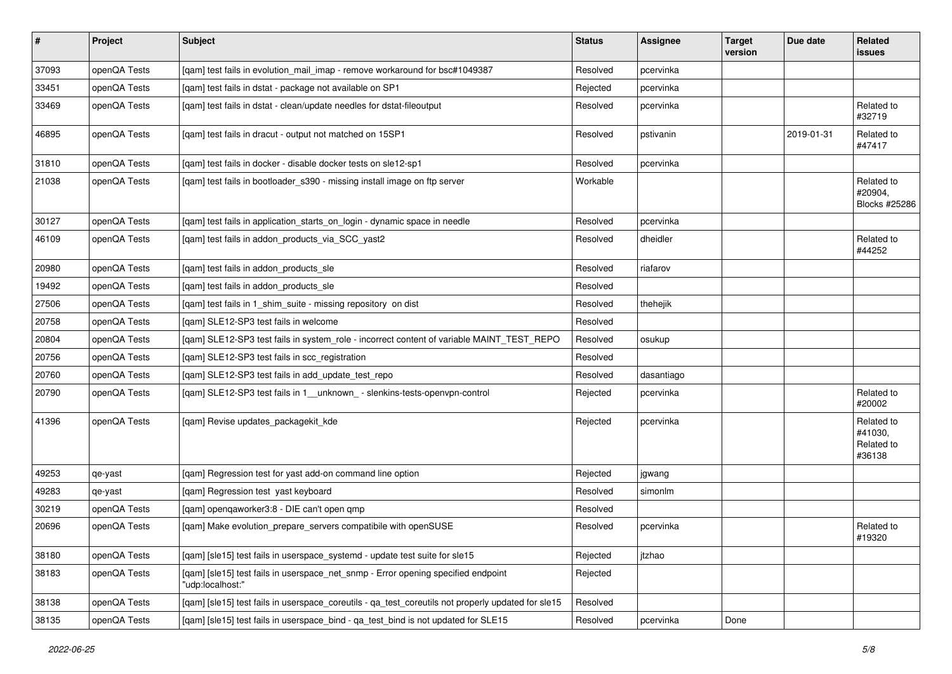| $\sharp$ | Project      | <b>Subject</b>                                                                                        | <b>Status</b> | Assignee   | <b>Target</b><br>version | Due date   | Related<br>issues                             |
|----------|--------------|-------------------------------------------------------------------------------------------------------|---------------|------------|--------------------------|------------|-----------------------------------------------|
| 37093    | openQA Tests | [gam] test fails in evolution mail imap - remove workaround for bsc#1049387                           | Resolved      | pcervinka  |                          |            |                                               |
| 33451    | openQA Tests | [qam] test fails in dstat - package not available on SP1                                              | Rejected      | pcervinka  |                          |            |                                               |
| 33469    | openQA Tests | [qam] test fails in dstat - clean/update needles for dstat-fileoutput                                 | Resolved      | pcervinka  |                          |            | Related to<br>#32719                          |
| 46895    | openQA Tests | [qam] test fails in dracut - output not matched on 15SP1                                              | Resolved      | pstivanin  |                          | 2019-01-31 | Related to<br>#47417                          |
| 31810    | openQA Tests | [qam] test fails in docker - disable docker tests on sle12-sp1                                        | Resolved      | pcervinka  |                          |            |                                               |
| 21038    | openQA Tests | [qam] test fails in bootloader_s390 - missing install image on ftp server                             | Workable      |            |                          |            | Related to<br>#20904,<br>Blocks #25286        |
| 30127    | openQA Tests | [qam] test fails in application_starts_on_login - dynamic space in needle                             | Resolved      | pcervinka  |                          |            |                                               |
| 46109    | openQA Tests | [qam] test fails in addon_products_via_SCC_yast2                                                      | Resolved      | dheidler   |                          |            | Related to<br>#44252                          |
| 20980    | openQA Tests | [qam] test fails in addon_products_sle                                                                | Resolved      | riafarov   |                          |            |                                               |
| 19492    | openQA Tests | [gam] test fails in addon products sle                                                                | Resolved      |            |                          |            |                                               |
| 27506    | openQA Tests | [gam] test fails in 1 shim suite - missing repository on dist                                         | Resolved      | thehejik   |                          |            |                                               |
| 20758    | openQA Tests | [qam] SLE12-SP3 test fails in welcome                                                                 | Resolved      |            |                          |            |                                               |
| 20804    | openQA Tests | [qam] SLE12-SP3 test fails in system_role - incorrect content of variable MAINT_TEST_REPO             | Resolved      | osukup     |                          |            |                                               |
| 20756    | openQA Tests | [qam] SLE12-SP3 test fails in scc_registration                                                        | Resolved      |            |                          |            |                                               |
| 20760    | openQA Tests | [qam] SLE12-SP3 test fails in add_update_test_repo                                                    | Resolved      | dasantiago |                          |            |                                               |
| 20790    | openQA Tests | [qam] SLE12-SP3 test fails in 1_unknown_ - slenkins-tests-openvpn-control                             | Rejected      | pcervinka  |                          |            | Related to<br>#20002                          |
| 41396    | openQA Tests | [qam] Revise updates_packagekit_kde                                                                   | Rejected      | pcervinka  |                          |            | Related to<br>#41030,<br>Related to<br>#36138 |
| 49253    | qe-yast      | [qam] Regression test for yast add-on command line option                                             | Rejected      | jgwang     |                          |            |                                               |
| 49283    | qe-yast      | [qam] Regression test yast keyboard                                                                   | Resolved      | simonlm    |                          |            |                                               |
| 30219    | openQA Tests | [qam] openqaworker3:8 - DIE can't open qmp                                                            | Resolved      |            |                          |            |                                               |
| 20696    | openQA Tests | [qam] Make evolution_prepare_servers compatibile with openSUSE                                        | Resolved      | pcervinka  |                          |            | Related to<br>#19320                          |
| 38180    | openQA Tests | [gam] [sle15] test fails in userspace systemd - update test suite for sle15                           | Rejected      | jtzhao     |                          |            |                                               |
| 38183    | openQA Tests | [qam] [sle15] test fails in userspace_net_snmp - Error opening specified endpoint<br>"udp:localhost:" | Rejected      |            |                          |            |                                               |
| 38138    | openQA Tests | [qam] [sle15] test fails in userspace_coreutils - qa_test_coreutils not properly updated for sle15    | Resolved      |            |                          |            |                                               |
| 38135    | openQA Tests | [qam] [sle15] test fails in userspace_bind - qa_test_bind is not updated for SLE15                    | Resolved      | pcervinka  | Done                     |            |                                               |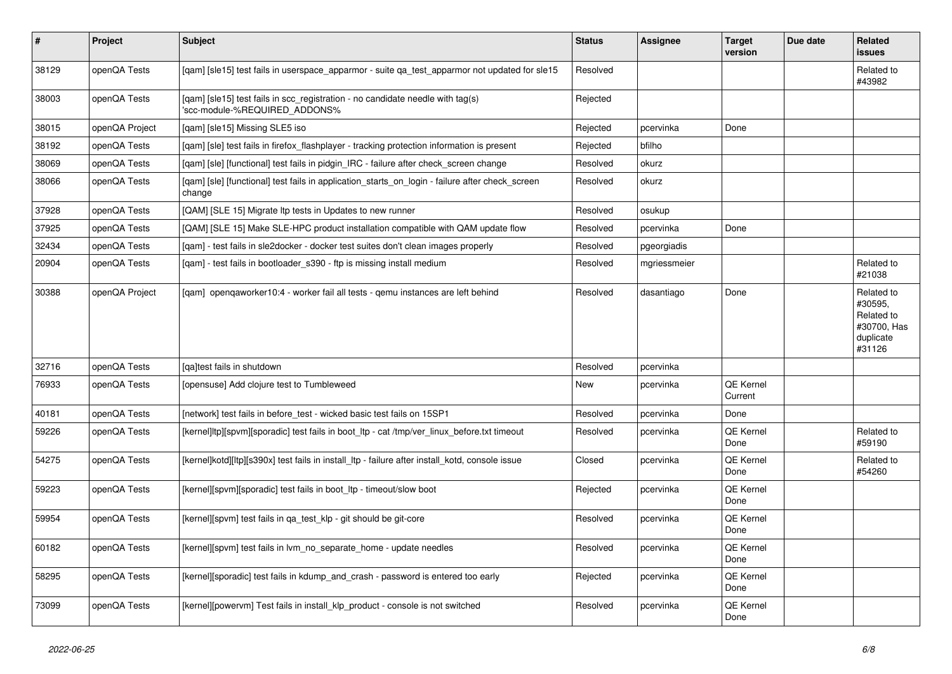| $\vert$ # | <b>Project</b> | <b>Subject</b>                                                                                                  | <b>Status</b> | <b>Assignee</b> | <b>Target</b><br>version | Due date | Related<br><b>issues</b>                                                  |
|-----------|----------------|-----------------------------------------------------------------------------------------------------------------|---------------|-----------------|--------------------------|----------|---------------------------------------------------------------------------|
| 38129     | openQA Tests   | [gam] [sle15] test fails in userspace apparmor - suite ga test apparmor not updated for sle15                   | Resolved      |                 |                          |          | Related to<br>#43982                                                      |
| 38003     | openQA Tests   | [gam] [sle15] test fails in scc registration - no candidate needle with tag(s)<br>'scc-module-%REQUIRED_ADDONS% | Rejected      |                 |                          |          |                                                                           |
| 38015     | openQA Project | [qam] [sle15] Missing SLE5 iso                                                                                  | Rejected      | pcervinka       | Done                     |          |                                                                           |
| 38192     | openQA Tests   | [qam] [sle] test fails in firefox_flashplayer - tracking protection information is present                      | Rejected      | bfilho          |                          |          |                                                                           |
| 38069     | openQA Tests   | [gam] [sle] [functional] test fails in pidgin IRC - failure after check screen change                           | Resolved      | okurz           |                          |          |                                                                           |
| 38066     | openQA Tests   | [gam] [sle] [functional] test fails in application starts on login - failure after check screen<br>change       | Resolved      | okurz           |                          |          |                                                                           |
| 37928     | openQA Tests   | [QAM] [SLE 15] Migrate Itp tests in Updates to new runner                                                       | Resolved      | osukup          |                          |          |                                                                           |
| 37925     | openQA Tests   | [QAM] [SLE 15] Make SLE-HPC product installation compatible with QAM update flow                                | Resolved      | pcervinka       | Done                     |          |                                                                           |
| 32434     | openQA Tests   | [gam] - test fails in sle2docker - docker test suites don't clean images properly                               | Resolved      | pgeorgiadis     |                          |          |                                                                           |
| 20904     | openQA Tests   | [gam] - test fails in bootloader s390 - ftp is missing install medium                                           | Resolved      | mgriessmeier    |                          |          | Related to<br>#21038                                                      |
| 30388     | openQA Project | [gam] opengaworker10:4 - worker fail all tests - gemu instances are left behind                                 | Resolved      | dasantiago      | Done                     |          | Related to<br>#30595,<br>Related to<br>#30700, Has<br>duplicate<br>#31126 |
| 32716     | openQA Tests   | [ga]test fails in shutdown                                                                                      | Resolved      | pcervinka       |                          |          |                                                                           |
| 76933     | openQA Tests   | [opensuse] Add clojure test to Tumbleweed                                                                       | New           | pcervinka       | QE Kernel<br>Current     |          |                                                                           |
| 40181     | openQA Tests   | [network] test fails in before_test - wicked basic test fails on 15SP1                                          | Resolved      | pcervinka       | Done                     |          |                                                                           |
| 59226     | openQA Tests   | [kernel]ltp][spvm][sporadic] test fails in boot ltp - cat /tmp/ver linux before.txt timeout                     | Resolved      | pcervinka       | QE Kernel<br>Done        |          | Related to<br>#59190                                                      |
| 54275     | openQA Tests   | [kernel]kotd][ltp][s390x] test fails in install_ltp - failure after install_kotd, console issue                 | Closed        | pcervinka       | QE Kernel<br>Done        |          | Related to<br>#54260                                                      |
| 59223     | openQA Tests   | [kernel][spvm][sporadic] test fails in boot ltp - timeout/slow boot                                             | Rejected      | pcervinka       | QE Kernel<br>Done        |          |                                                                           |
| 59954     | openQA Tests   | [kernel][spvm] test fails in qa_test_klp - git should be git-core                                               | Resolved      | pcervinka       | QE Kernel<br>Done        |          |                                                                           |
| 60182     | openQA Tests   | [kernel][spvm] test fails in lvm no separate home - update needles                                              | Resolved      | pcervinka       | QE Kernel<br>Done        |          |                                                                           |
| 58295     | openQA Tests   | [kernel][sporadic] test fails in kdump_and_crash - password is entered too early                                | Rejected      | pcervinka       | QE Kernel<br>Done        |          |                                                                           |
| 73099     | openQA Tests   | [kernel][powervm] Test fails in install klp product - console is not switched                                   | Resolved      | pcervinka       | QE Kernel<br>Done        |          |                                                                           |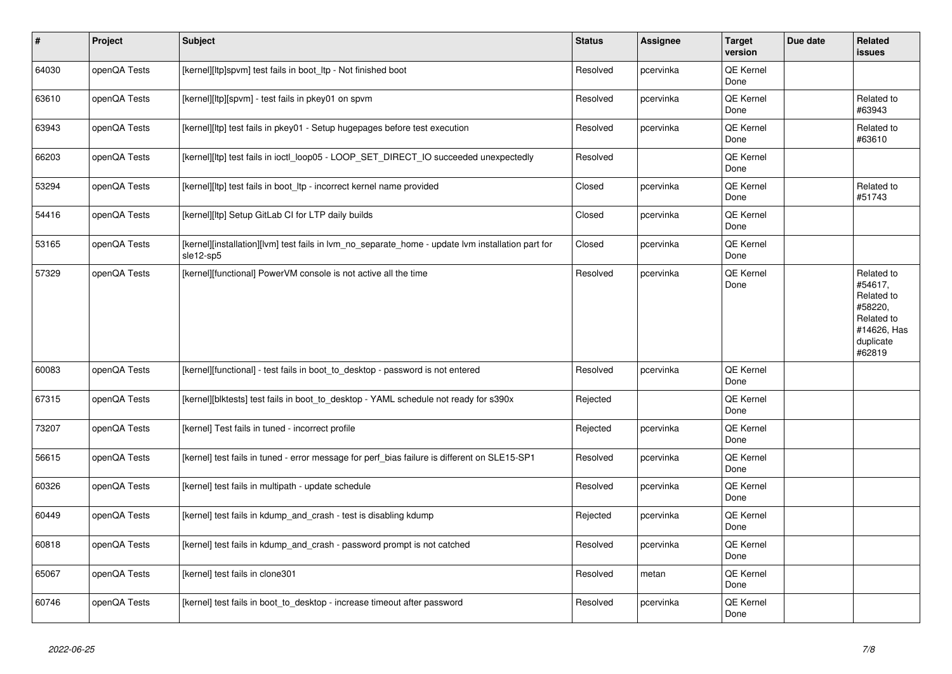| $\vert$ # | Project      | <b>Subject</b>                                                                                                 | <b>Status</b> | Assignee  | <b>Target</b><br>version | Due date | Related<br>issues                                                                                  |
|-----------|--------------|----------------------------------------------------------------------------------------------------------------|---------------|-----------|--------------------------|----------|----------------------------------------------------------------------------------------------------|
| 64030     | openQA Tests | [kernel][ltp]spvm] test fails in boot_ltp - Not finished boot                                                  | Resolved      | pcervinka | QE Kernel<br>Done        |          |                                                                                                    |
| 63610     | openQA Tests | [kernel][ltp][spvm] - test fails in pkey01 on spvm                                                             | Resolved      | pcervinka | QE Kernel<br>Done        |          | Related to<br>#63943                                                                               |
| 63943     | openQA Tests | [kernel][ltp] test fails in pkey01 - Setup hugepages before test execution                                     | Resolved      | pcervinka | QE Kernel<br>Done        |          | Related to<br>#63610                                                                               |
| 66203     | openQA Tests | [kernel][ltp] test fails in ioctl_loop05 - LOOP_SET_DIRECT_IO succeeded unexpectedly                           | Resolved      |           | QE Kernel<br>Done        |          |                                                                                                    |
| 53294     | openQA Tests | [kernel][ltp] test fails in boot_ltp - incorrect kernel name provided                                          | Closed        | pcervinka | QE Kernel<br>Done        |          | Related to<br>#51743                                                                               |
| 54416     | openQA Tests | [kernel][ltp] Setup GitLab CI for LTP daily builds                                                             | Closed        | pcervinka | QE Kernel<br>Done        |          |                                                                                                    |
| 53165     | openQA Tests | [kernel][installation][lvm] test fails in lvm_no_separate_home - update lvm installation part for<br>sle12-sp5 | Closed        | pcervinka | QE Kernel<br>Done        |          |                                                                                                    |
| 57329     | openQA Tests | [kernel][functional] PowerVM console is not active all the time                                                | Resolved      | pcervinka | QE Kernel<br>Done        |          | Related to<br>#54617,<br>Related to<br>#58220,<br>Related to<br>#14626, Has<br>duplicate<br>#62819 |
| 60083     | openQA Tests | [kernel][functional] - test fails in boot_to_desktop - password is not entered                                 | Resolved      | pcervinka | <b>QE Kernel</b><br>Done |          |                                                                                                    |
| 67315     | openQA Tests | [kernel][blktests] test fails in boot_to_desktop - YAML schedule not ready for s390x                           | Rejected      |           | QE Kernel<br>Done        |          |                                                                                                    |
| 73207     | openQA Tests | [kernel] Test fails in tuned - incorrect profile                                                               | Rejected      | pcervinka | <b>QE Kernel</b><br>Done |          |                                                                                                    |
| 56615     | openQA Tests | [kernel] test fails in tuned - error message for perf_bias failure is different on SLE15-SP1                   | Resolved      | pcervinka | QE Kernel<br>Done        |          |                                                                                                    |
| 60326     | openQA Tests | [kernel] test fails in multipath - update schedule                                                             | Resolved      | pcervinka | QE Kernel<br>Done        |          |                                                                                                    |
| 60449     | openQA Tests | [kernel] test fails in kdump_and_crash - test is disabling kdump                                               | Rejected      | pcervinka | QE Kernel<br>Done        |          |                                                                                                    |
| 60818     | openQA Tests | [kernel] test fails in kdump_and_crash - password prompt is not catched                                        | Resolved      | pcervinka | QE Kernel<br>Done        |          |                                                                                                    |
| 65067     | openQA Tests | [kernel] test fails in clone301                                                                                | Resolved      | metan     | QE Kernel<br>Done        |          |                                                                                                    |
| 60746     | openQA Tests | [kernel] test fails in boot to desktop - increase timeout after password                                       | Resolved      | pcervinka | QE Kernel<br>Done        |          |                                                                                                    |